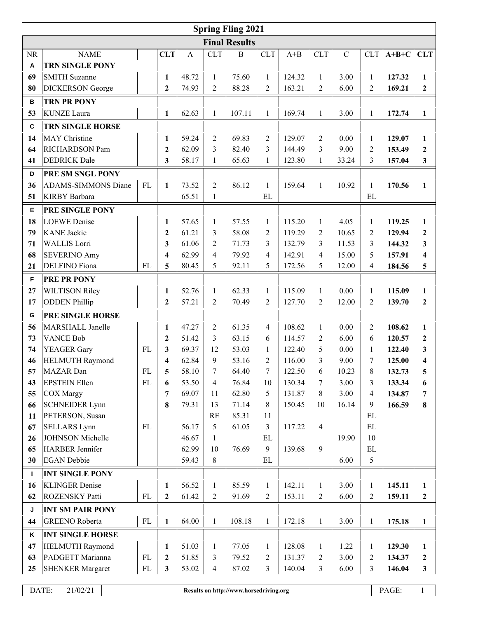| <b>Spring Fling 2021</b>                                             |                            |            |                       |              |                     |          |                     |         |                |              |                |         |                                |
|----------------------------------------------------------------------|----------------------------|------------|-----------------------|--------------|---------------------|----------|---------------------|---------|----------------|--------------|----------------|---------|--------------------------------|
| <b>Final Results</b>                                                 |                            |            |                       |              |                     |          |                     |         |                |              |                |         |                                |
| <b>NR</b>                                                            | <b>NAME</b>                |            | <b>CLT</b>            | $\mathbf{A}$ | <b>CLT</b>          | $\bf{B}$ | <b>CLT</b>          | $A + B$ | <b>CLT</b>     | $\mathbf C$  | <b>CLT</b>     | $A+B+C$ | <b>CLT</b>                     |
| A                                                                    | <b>TRN SINGLE PONY</b>     |            |                       |              |                     |          |                     |         |                |              |                |         |                                |
| 69                                                                   | <b>SMITH Suzanne</b>       |            | 1                     | 48.72        | 1                   | 75.60    | $\mathbf{1}$        | 124.32  | 1              | 3.00         | 1              | 127.32  | $\mathbf{1}$                   |
| 80                                                                   | <b>DICKERSON</b> George    |            | $\mathbf{2}$          | 74.93        | $\overline{2}$      | 88.28    | $\overline{2}$      | 163.21  | $\overline{2}$ | 6.00         | $\overline{2}$ | 169.21  | $\overline{2}$                 |
| B                                                                    | <b>TRN PR PONY</b>         |            |                       |              |                     |          |                     |         |                |              |                |         |                                |
| 53                                                                   | <b>KUNZE</b> Laura         |            | $\mathbf{1}$          | 62.63        | $\mathbf{1}$        | 107.11   | $\mathbf{1}$        | 169.74  | $\mathbf{1}$   | 3.00         | 1              | 172.74  | $\mathbf{1}$                   |
| $\mathbf c$                                                          | <b>TRN SINGLE HORSE</b>    |            |                       |              |                     |          |                     |         |                |              |                |         |                                |
| 14                                                                   | <b>MAY</b> Christine       |            | 1                     | 59.24        | $\overline{2}$      | 69.83    | $\overline{2}$      | 129.07  | $\overline{2}$ | 0.00         | $\mathbf{1}$   | 129.07  | 1                              |
| 64                                                                   | RICHARDSON Pam             |            | $\mathbf{2}$          | 62.09        | 3                   | 82.40    | 3                   | 144.49  | 3              | 9.00         | $\overline{2}$ | 153.49  | $\boldsymbol{2}$               |
| 41                                                                   | <b>DEDRICK</b> Dale        |            | 3                     | 58.17        | 1                   | 65.63    | $\mathbf{1}$        | 123.80  | 1              | 33.24        | 3              | 157.04  | 3                              |
| D                                                                    | PRE SM SNGL PONY           |            |                       |              |                     |          |                     |         |                |              |                |         |                                |
| 36                                                                   | <b>ADAMS-SIMMONS Diane</b> | FL         | $\mathbf{1}$          | 73.52        | $\overline{2}$      | 86.12    | $\mathbf{1}$        | 159.64  | $\mathbf{1}$   | 10.92        | $\mathbf{1}$   | 170.56  | $\mathbf{1}$                   |
| 51                                                                   | <b>KIRBY</b> Barbara       |            |                       | 65.51        | $\mathbf{1}$        |          | EL                  |         |                |              | <b>EL</b>      |         |                                |
| Е                                                                    | PRE SINGLE PONY            |            |                       |              |                     |          |                     |         |                |              |                |         |                                |
| 18                                                                   | <b>LOEWE</b> Denise        |            | 1                     | 57.65        | 1                   | 57.55    | $\mathbf{1}$        | 115.20  | $\mathbf{1}$   | 4.05         | 1              | 119.25  | 1                              |
| 79                                                                   | <b>KANE</b> Jackie         |            | $\mathbf{2}$          | 61.21        | 3                   | 58.08    | $\overline{2}$      | 119.29  | $\overline{2}$ | 10.65        | 2              | 129.94  | $\overline{2}$                 |
| 71                                                                   | <b>WALLIS Lorri</b>        |            | 3                     | 61.06        | 2                   | 71.73    | 3                   | 132.79  | 3              | 11.53        | 3              | 144.32  | 3                              |
| 68                                                                   | <b>SEVERINO Amy</b>        |            | 4                     | 62.99        | $\overline{4}$      | 79.92    | $\overline{4}$      | 142.91  | 4              | 15.00        | 5              | 157.91  | 4                              |
| 21                                                                   | <b>DELFINO</b> Fiona       | FL         | 5                     | 80.45        | 5                   | 92.11    | 5                   | 172.56  | 5              | 12.00        | 4              | 184.56  | 5                              |
| F                                                                    | <b>PRE PR PONY</b>         |            |                       |              |                     |          |                     |         |                |              |                |         |                                |
| 27                                                                   | <b>WILTISON Riley</b>      |            | 1                     | 52.76        | 1                   | 62.33    | $\mathbf{1}$        | 115.09  | 1              | 0.00         | 1              | 115.09  | $\mathbf{1}$                   |
| 17                                                                   | <b>ODDEN</b> Phillip       |            | $\mathbf{2}$          | 57.21        | $\overline{2}$      | 70.49    | $\overline{2}$      | 127.70  | 2              | 12.00        | $\overline{2}$ | 139.70  | $\overline{2}$                 |
| G                                                                    | PRE SINGLE HORSE           |            |                       |              |                     |          |                     |         |                |              |                |         |                                |
|                                                                      | <b>MARSHALL Janelle</b>    |            |                       | 47.27        |                     | 61.35    |                     | 108.62  |                | 0.00         | $\overline{2}$ | 108.62  |                                |
| 56<br>73                                                             | <b>VANCE Bob</b>           |            | 1<br>$\boldsymbol{2}$ | 51.42        | $\overline{2}$<br>3 | 63.15    | $\overline{4}$<br>6 | 114.57  | 1<br>2         | 6.00         | 6              | 120.57  | $\mathbf{1}$<br>$\overline{2}$ |
| 74                                                                   | YEAGER Gary                | <b>FL</b>  | 3                     | 69.37        | 12                  | 53.03    | $\mathbf{1}$        | 122.40  | 5              | 0.00         | 1              | 122.40  | 3                              |
| 46                                                                   | HELMUTH Raymond            |            | 4                     | 62.84        | 9                   | 53.16    | $\overline{2}$      | 116.00  | 3              | 9.00         | 7              | 125.00  | 4                              |
| 57                                                                   | MAZAR Dan                  | FL         | 5                     | 58.10        | $\tau$              | 64.40    | $\tau$              | 122.50  | 6              | 10.23        | 8              | 132.73  | 5                              |
| 43                                                                   | <b>EPSTEIN Ellen</b>       | FL         | 6                     | 53.50        | $\overline{4}$      | 76.84    | 10                  | 130.34  | 7              | 3.00         | 3              | 133.34  | 6                              |
| 55                                                                   | <b>COX</b> Margy           |            | 7                     | 69.07        | 11                  | 62.80    | $\mathfrak{H}$      | 131.87  | 8              | 3.00         | 4              | 134.87  | $\tau$                         |
| 66                                                                   | <b>SCHNEIDER Lynn</b>      |            | 8                     | 79.31        | 13                  | 71.14    | $\,8\,$             | 150.45  | 10             | 16.14        | 9              | 166.59  | 8                              |
| 11                                                                   | PETERSON, Susan            |            |                       |              | RE                  | 85.31    | 11                  |         |                |              | EL             |         |                                |
| 67                                                                   | <b>SELLARS</b> Lynn        | <b>FL</b>  |                       | 56.17        | 5                   | 61.05    | 3                   | 117.22  | 4              |              | EL             |         |                                |
| 26                                                                   | <b>JOHNSON</b> Michelle    |            |                       | 46.67        | 1                   |          | EL                  |         |                | 19.90        | 10             |         |                                |
| 65                                                                   | <b>HARBER Jennifer</b>     |            |                       | 62.99        | 10                  | 76.69    | $\mathfrak{g}$      | 139.68  | 9              |              | EL             |         |                                |
| 30                                                                   | <b>EGAN</b> Debbie         |            |                       | 59.43        | 8                   |          | $\mathbf{EL}$       |         |                | 6.00         | 5              |         |                                |
| L                                                                    | <b>INT SINGLE PONY</b>     |            |                       |              |                     |          |                     |         |                |              |                |         |                                |
| 16                                                                   | <b>KLINGER Denise</b>      |            | 1                     | 56.52        | $\mathbf{1}$        | 85.59    | $\,1\,$             | 142.11  | 1              | 3.00         | $\mathbf{1}$   | 145.11  | 1                              |
| 62                                                                   | ROZENSKY Patti             | <b>FL</b>  | $\mathbf{2}$          | 61.42        | $\overline{2}$      | 91.69    | $\overline{2}$      | 153.11  | $\overline{2}$ | 6.00         | 2              | 159.11  | 2                              |
| J                                                                    | <b>INT SM PAIR PONY</b>    |            |                       |              |                     |          |                     |         |                |              |                |         |                                |
| 44                                                                   | <b>GREENO</b> Roberta      | ${\rm FL}$ | $\mathbf{1}$          | 64.00        | $\mathbf{1}$        | 108.18   | $\mathbf{1}$        | 172.18  | $\mathbf{1}$   | 3.00         | $\mathbf{1}$   | 175.18  | $\mathbf{1}$                   |
| Κ                                                                    | <b>INT SINGLE HORSE</b>    |            |                       |              |                     |          |                     |         |                |              |                |         |                                |
| 47                                                                   | <b>HELMUTH Raymond</b>     |            | 1                     | 51.03        | $\mathbf{1}$        | 77.05    | $\mathbf{1}$        | 128.08  | 1              | 1.22         | 1              | 129.30  | 1                              |
| 63                                                                   | PADGETT Marianna           | <b>FL</b>  | $\boldsymbol{2}$      | 51.85        | 3                   | 79.52    | $\sqrt{2}$          | 131.37  | 2              | 3.00         | 2              | 134.37  | $\overline{2}$                 |
| 25                                                                   | <b>SHENKER Margaret</b>    | FL         | 3                     | 53.02        | 4                   | 87.02    | 3                   | 140.04  | 3              | 6.00         | 3              | 146.04  | 3                              |
|                                                                      |                            |            |                       |              |                     |          |                     |         |                |              |                |         |                                |
| DATE:<br>21/02/21<br>PAGE:<br>Results on http://www.horsedriving.org |                            |            |                       |              |                     |          |                     |         |                | $\mathbf{1}$ |                |         |                                |